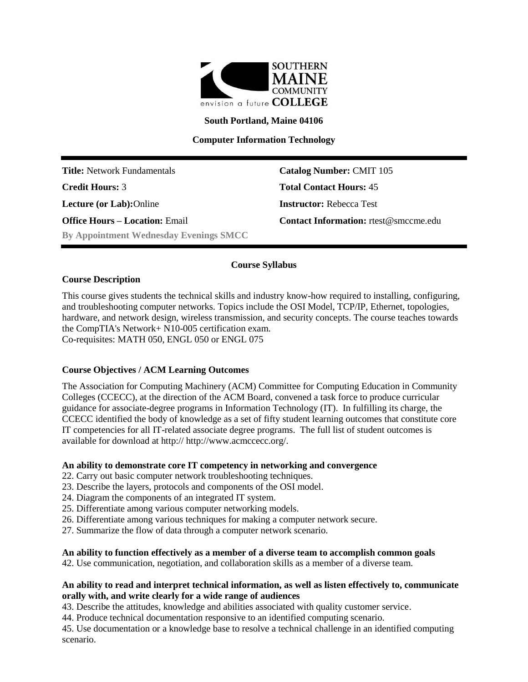

**South Portland, Maine 04106**

**Computer Information Technology**

**Title:** Network Fundamentals **Catalog Number:** CMIT 105 **Credit Hours:** 3 **Total Contact Hours:** 45 **Lecture (or Lab):**Online **Instructor:** Rebecca Test **Office Hours – Location:** Email **Contact Information:** rtest@smccme.edu **By Appointment Wednesday Evenings SMCC**

# **Course Syllabus**

# **Course Description**

This course gives students the technical skills and industry know-how required to installing, configuring, and troubleshooting computer networks. Topics include the OSI Model, TCP/IP, Ethernet, topologies, hardware, and network design, wireless transmission, and security concepts. The course teaches towards the CompTIA's Network+ N10-005 certification exam. Co-requisites: MATH 050, ENGL 050 or ENGL 075

# **Course Objectives / ACM Learning Outcomes**

The Association for Computing Machinery (ACM) Committee for Computing Education in Community Colleges (CCECC), at the direction of the ACM Board, convened a task force to produce curricular guidance for associate-degree programs in Information Technology (IT). In fulfilling its charge, the CCECC identified the body of knowledge as a set of fifty student learning outcomes that constitute core IT competencies for all IT-related associate degree programs. The full list of student outcomes is available for download at http:// http://www.acmccecc.org/.

#### **An ability to demonstrate core IT competency in networking and convergence**

- 22. Carry out basic computer network troubleshooting techniques.
- 23. Describe the layers, protocols and components of the OSI model.
- 24. Diagram the components of an integrated IT system.
- 25. Differentiate among various computer networking models.
- 26. Differentiate among various techniques for making a computer network secure.
- 27. Summarize the flow of data through a computer network scenario.

#### **An ability to function effectively as a member of a diverse team to accomplish common goals**

42. Use communication, negotiation, and collaboration skills as a member of a diverse team.

# **An ability to read and interpret technical information, as well as listen effectively to, communicate orally with, and write clearly for a wide range of audiences**

43. Describe the attitudes, knowledge and abilities associated with quality customer service.

44. Produce technical documentation responsive to an identified computing scenario.

45. Use documentation or a knowledge base to resolve a technical challenge in an identified computing scenario.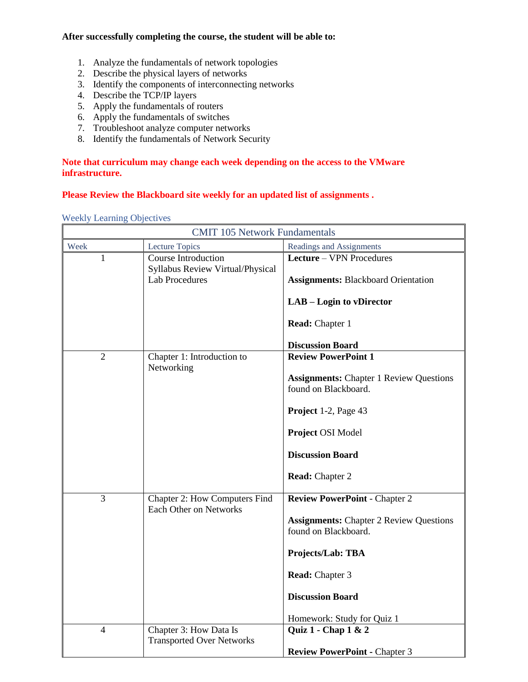# **After successfully completing the course, the student will be able to:**

- 1. Analyze the fundamentals of network topologies
- 2. Describe the physical layers of networks
- 3. Identify the components of interconnecting networks
- 4. Describe the TCP/IP layers
- 5. Apply the fundamentals of routers
- 6. Apply the fundamentals of switches
- 7. Troubleshoot analyze computer networks
- 8. Identify the fundamentals of Network Security

# **Note that curriculum may change each week depending on the access to the VMware infrastructure.**

# **Please Review the Blackboard site weekly for an updated list of assignments .**

|  | <b>Weekly Learning Objectives</b> |
|--|-----------------------------------|
|  |                                   |

| <b>CMIT 105 Network Fundamentals</b> |                                                           |                                                                        |
|--------------------------------------|-----------------------------------------------------------|------------------------------------------------------------------------|
| Week                                 | Lecture Topics                                            | Readings and Assignments                                               |
| 1                                    | Course Introduction                                       | Lecture - VPN Procedures                                               |
|                                      | Syllabus Review Virtual/Physical<br><b>Lab Procedures</b> | <b>Assignments: Blackboard Orientation</b>                             |
|                                      |                                                           | LAB - Login to vDirector                                               |
|                                      |                                                           | Read: Chapter 1                                                        |
|                                      |                                                           | <b>Discussion Board</b>                                                |
| $\overline{2}$                       | Chapter 1: Introduction to                                | <b>Review PowerPoint 1</b>                                             |
|                                      | Networking                                                | <b>Assignments:</b> Chapter 1 Review Questions<br>found on Blackboard. |
|                                      |                                                           | Project 1-2, Page 43                                                   |
|                                      |                                                           | Project OSI Model                                                      |
|                                      |                                                           | <b>Discussion Board</b>                                                |
|                                      |                                                           | <b>Read:</b> Chapter 2                                                 |
| $\overline{3}$                       | Chapter 2: How Computers Find<br>Each Other on Networks   | <b>Review PowerPoint - Chapter 2</b>                                   |
|                                      |                                                           | <b>Assignments:</b> Chapter 2 Review Questions<br>found on Blackboard. |
|                                      |                                                           | Projects/Lab: TBA                                                      |
|                                      |                                                           | Read: Chapter 3                                                        |
|                                      |                                                           | <b>Discussion Board</b>                                                |
|                                      |                                                           | Homework: Study for Quiz 1                                             |
| $\overline{4}$                       | Chapter 3: How Data Is                                    | Quiz $1$ - Chap $1 < 2$                                                |
|                                      | <b>Transported Over Networks</b>                          |                                                                        |
|                                      |                                                           | <b>Review PowerPoint - Chapter 3</b>                                   |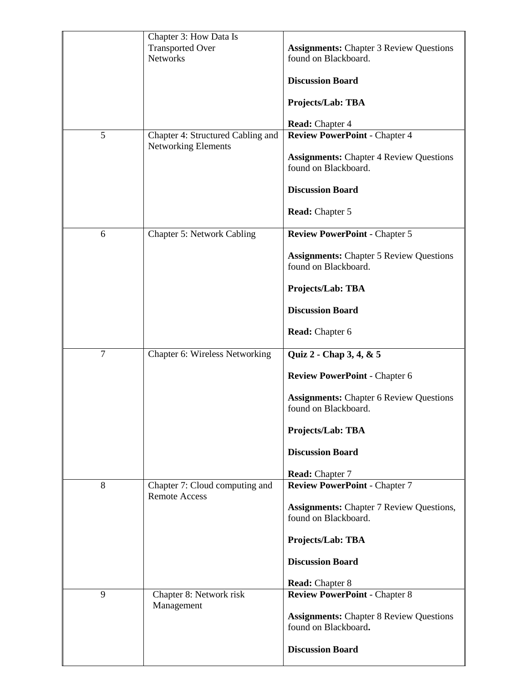| 5              | Chapter 3: How Data Is<br><b>Transported Over</b><br><b>Networks</b><br>Chapter 4: Structured Cabling and<br><b>Networking Elements</b> | <b>Assignments:</b> Chapter 3 Review Questions<br>found on Blackboard.<br><b>Discussion Board</b><br>Projects/Lab: TBA<br><b>Read:</b> Chapter 4<br><b>Review PowerPoint - Chapter 4</b><br><b>Assignments:</b> Chapter 4 Review Questions |
|----------------|-----------------------------------------------------------------------------------------------------------------------------------------|--------------------------------------------------------------------------------------------------------------------------------------------------------------------------------------------------------------------------------------------|
|                |                                                                                                                                         | found on Blackboard.<br><b>Discussion Board</b><br>Read: Chapter 5                                                                                                                                                                         |
| 6              | Chapter 5: Network Cabling                                                                                                              | <b>Review PowerPoint - Chapter 5</b><br><b>Assignments:</b> Chapter 5 Review Questions<br>found on Blackboard.<br>Projects/Lab: TBA<br><b>Discussion Board</b><br><b>Read:</b> Chapter 6                                                   |
| $\overline{7}$ | Chapter 6: Wireless Networking                                                                                                          | Quiz 2 - Chap 3, 4, & 5<br><b>Review PowerPoint - Chapter 6</b><br><b>Assignments: Chapter 6 Review Questions</b><br>found on Blackboard.<br>Projects/Lab: TBA<br><b>Discussion Board</b><br><b>Read:</b> Chapter 7                        |
| 8              | Chapter 7: Cloud computing and<br><b>Remote Access</b>                                                                                  | <b>Review PowerPoint - Chapter 7</b><br><b>Assignments: Chapter 7 Review Questions,</b><br>found on Blackboard.<br>Projects/Lab: TBA<br><b>Discussion Board</b><br><b>Read:</b> Chapter 8                                                  |
| 9              | Chapter 8: Network risk<br>Management                                                                                                   | <b>Review PowerPoint - Chapter 8</b><br><b>Assignments: Chapter 8 Review Questions</b><br>found on Blackboard.<br><b>Discussion Board</b>                                                                                                  |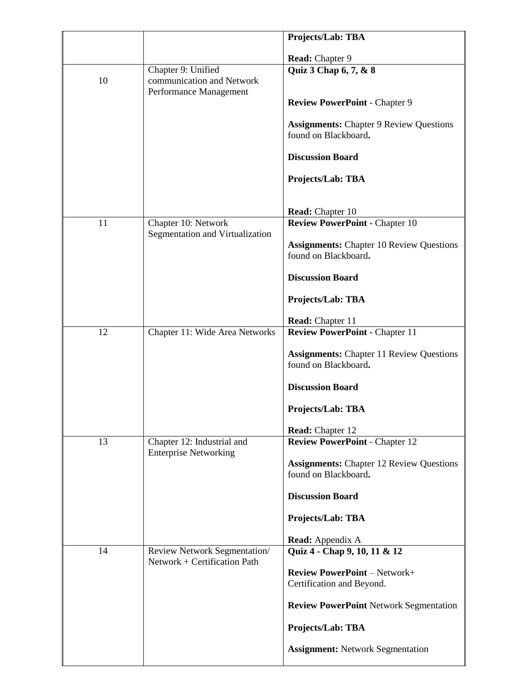|    |                                                            | Projects/Lab: TBA                                                       |
|----|------------------------------------------------------------|-------------------------------------------------------------------------|
|    |                                                            |                                                                         |
|    |                                                            | Read: Chapter 9                                                         |
| 10 | Chapter 9: Unified<br>communication and Network            | Quiz 3 Chap 6, 7, & 8                                                   |
|    | Performance Management                                     |                                                                         |
|    |                                                            | <b>Review PowerPoint - Chapter 9</b>                                    |
|    |                                                            | <b>Assignments:</b> Chapter 9 Review Questions                          |
|    |                                                            | found on Blackboard.                                                    |
|    |                                                            | <b>Discussion Board</b>                                                 |
|    |                                                            | Projects/Lab: TBA                                                       |
|    |                                                            |                                                                         |
|    |                                                            | Read: Chapter 10                                                        |
| 11 | Chapter 10: Network<br>Segmentation and Virtualization     | <b>Review PowerPoint - Chapter 10</b>                                   |
|    |                                                            | <b>Assignments:</b> Chapter 10 Review Questions                         |
|    |                                                            | found on Blackboard.                                                    |
|    |                                                            | <b>Discussion Board</b>                                                 |
|    |                                                            | Projects/Lab: TBA                                                       |
|    |                                                            | Read: Chapter 11                                                        |
| 12 | Chapter 11: Wide Area Networks                             | <b>Review PowerPoint - Chapter 11</b>                                   |
|    |                                                            |                                                                         |
|    |                                                            | <b>Assignments:</b> Chapter 11 Review Questions<br>found on Blackboard. |
|    |                                                            | <b>Discussion Board</b>                                                 |
|    |                                                            |                                                                         |
|    |                                                            | Projects/Lab: TBA                                                       |
|    |                                                            | <b>Read:</b> Chapter 12                                                 |
| 13 | Chapter 12: Industrial and<br><b>Enterprise Networking</b> | <b>Review PowerPoint - Chapter 12</b>                                   |
|    |                                                            | <b>Assignments: Chapter 12 Review Questions</b>                         |
|    |                                                            | found on Blackboard.                                                    |
|    |                                                            | <b>Discussion Board</b>                                                 |
|    |                                                            | <b>Projects/Lab: TBA</b>                                                |
|    |                                                            | <b>Read:</b> Appendix A                                                 |
| 14 | Review Network Segmentation/                               | Quiz 4 - Chap 9, 10, 11 & 12                                            |
|    | Network + Certification Path                               |                                                                         |
|    |                                                            | <b>Review PowerPoint - Network+</b><br>Certification and Beyond.        |
|    |                                                            | <b>Review PowerPoint Network Segmentation</b>                           |
|    |                                                            |                                                                         |
|    |                                                            | Projects/Lab: TBA                                                       |
|    |                                                            | <b>Assignment: Network Segmentation</b>                                 |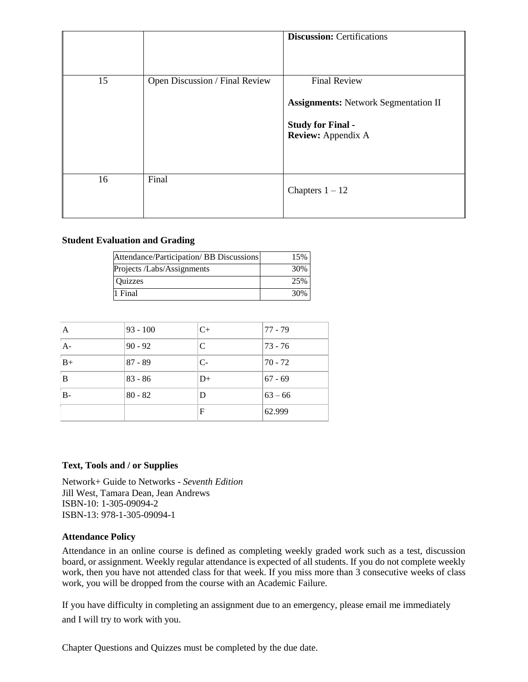|    |                                | <b>Discussion: Certifications</b>                                                                                    |
|----|--------------------------------|----------------------------------------------------------------------------------------------------------------------|
| 15 | Open Discussion / Final Review | <b>Final Review</b><br><b>Assignments:</b> Network Segmentation II<br><b>Study for Final -</b><br>Review: Appendix A |
| 16 | Final                          | Chapters $1 - 12$                                                                                                    |

#### **Student Evaluation and Grading**

| Attendance/Participation/ BB Discussions | 15% |
|------------------------------------------|-----|
| Projects /Labs/Assignments               | 30% |
| <b>Ouizzes</b>                           | 25% |
| 1 Final                                  | 30% |

| A     | $93 - 100$ | $C+$ | $77 - 79$ |
|-------|------------|------|-----------|
| $A-$  | $90 - 92$  | C    | 73 - 76   |
| $B+$  | $87 - 89$  | $C-$ | 170 - 72  |
| B     | $83 - 86$  | $D+$ | $67 - 69$ |
| $B -$ | $80 - 82$  | D    | $63 - 66$ |
|       |            | F    | 62.999    |

# **Text, Tools and / or Supplies**

Network+ Guide to Networks - *Seventh Edition*  Jill West, Tamara Dean, Jean Andrews ISBN-10: 1-305-09094-2 ISBN-13: 978-1-305-09094-1

#### **Attendance Policy**

Attendance in an online course is defined as completing weekly graded work such as a test, discussion board, or assignment. Weekly regular attendance is expected of all students. If you do not complete weekly work, then you have not attended class for that week. If you miss more than 3 consecutive weeks of class work, you will be dropped from the course with an Academic Failure.

If you have difficulty in completing an assignment due to an emergency, please email me immediately and I will try to work with you.

Chapter Questions and Quizzes must be completed by the due date.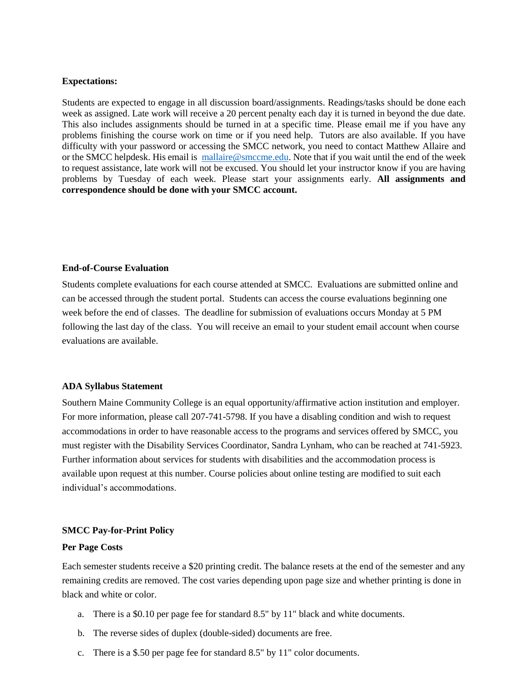#### **Expectations:**

Students are expected to engage in all discussion board/assignments. Readings/tasks should be done each week as assigned. Late work will receive a 20 percent penalty each day it is turned in beyond the due date. This also includes assignments should be turned in at a specific time. Please email me if you have any problems finishing the course work on time or if you need help. Tutors are also available. If you have difficulty with your password or accessing the SMCC network, you need to contact Matthew Allaire and or the SMCC helpdesk. His email is [mallaire@smccme.edu.](mailto:mallaire@smccme.edu) Note that if you wait until the end of the week to request assistance, late work will not be excused. You should let your instructor know if you are having problems by Tuesday of each week. Please start your assignments early. **All assignments and correspondence should be done with your SMCC account.**

#### **End-of-Course Evaluation**

Students complete evaluations for each course attended at SMCC. Evaluations are submitted online and can be accessed through the student portal. Students can access the course evaluations beginning one week before the end of classes. The deadline for submission of evaluations occurs Monday at 5 PM following the last day of the class. You will receive an email to your student email account when course evaluations are available.

# **ADA Syllabus Statement**

Southern Maine Community College is an equal opportunity/affirmative action institution and employer. For more information, please call 207-741-5798. If you have a disabling condition and wish to request accommodations in order to have reasonable access to the programs and services offered by SMCC, you must register with the Disability Services Coordinator, Sandra Lynham, who can be reached at 741-5923. Further information about services for students with disabilities and the accommodation process is available upon request at this number. Course policies about online testing are modified to suit each individual's accommodations.

# **SMCC Pay-for-Print Policy**

#### **Per Page Costs**

Each semester students receive a \$20 printing credit. The balance resets at the end of the semester and any remaining credits are removed. The cost varies depending upon page size and whether printing is done in black and white or color.

- a. There is a \$0.10 per page fee for standard 8.5" by 11" black and white documents.
- b. The reverse sides of duplex (double-sided) documents are free.
- c. There is a \$.50 per page fee for standard 8.5" by 11" color documents.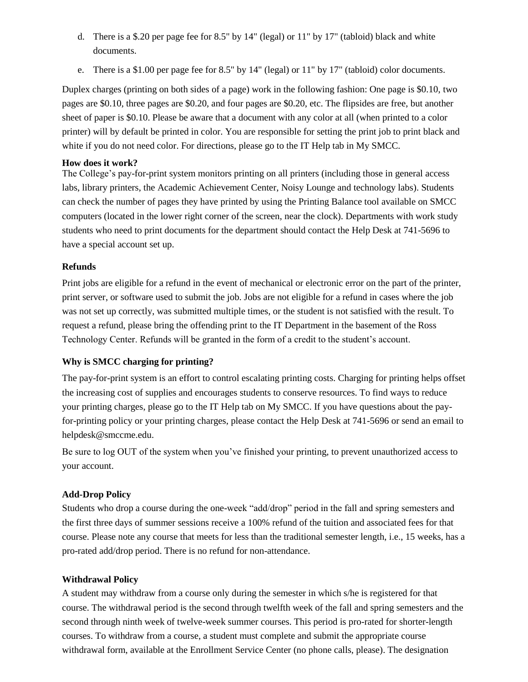- d. There is a \$.20 per page fee for 8.5" by 14" (legal) or 11" by 17" (tabloid) black and white documents.
- e. There is a \$1.00 per page fee for 8.5" by 14" (legal) or 11" by 17" (tabloid) color documents.

Duplex charges (printing on both sides of a page) work in the following fashion: One page is \$0.10, two pages are \$0.10, three pages are \$0.20, and four pages are \$0.20, etc. The flipsides are free, but another sheet of paper is \$0.10. Please be aware that a document with any color at all (when printed to a color printer) will by default be printed in color. You are responsible for setting the print job to print black and white if you do not need color. For directions, please go to the IT Help tab in My SMCC.

# **How does it work?**

The College's pay-for-print system monitors printing on all printers (including those in general access labs, library printers, the Academic Achievement Center, Noisy Lounge and technology labs). Students can check the number of pages they have printed by using the Printing Balance tool available on SMCC computers (located in the lower right corner of the screen, near the clock). Departments with work study students who need to print documents for the department should contact the Help Desk at 741-5696 to have a special account set up.

# **Refunds**

Print jobs are eligible for a refund in the event of mechanical or electronic error on the part of the printer, print server, or software used to submit the job. Jobs are not eligible for a refund in cases where the job was not set up correctly, was submitted multiple times, or the student is not satisfied with the result. To request a refund, please bring the offending print to the IT Department in the basement of the Ross Technology Center. Refunds will be granted in the form of a credit to the student's account.

# **Why is SMCC charging for printing?**

The pay-for-print system is an effort to control escalating printing costs. Charging for printing helps offset the increasing cost of supplies and encourages students to conserve resources. To find ways to reduce your printing charges, please go to the IT Help tab on My SMCC. If you have questions about the payfor-printing policy or your printing charges, please contact the Help Desk at 741-5696 or send an email to helpdesk@smccme.edu.

Be sure to log OUT of the system when you've finished your printing, to prevent unauthorized access to your account.

# **Add-Drop Policy**

Students who drop a course during the one-week "add/drop" period in the fall and spring semesters and the first three days of summer sessions receive a 100% refund of the tuition and associated fees for that course. Please note any course that meets for less than the traditional semester length, i.e., 15 weeks, has a pro-rated add/drop period. There is no refund for non-attendance.

# **Withdrawal Policy**

A student may withdraw from a course only during the semester in which s/he is registered for that course. The withdrawal period is the second through twelfth week of the fall and spring semesters and the second through ninth week of twelve-week summer courses. This period is pro-rated for shorter-length courses. To withdraw from a course, a student must complete and submit the appropriate course withdrawal form, available at the Enrollment Service Center (no phone calls, please). The designation